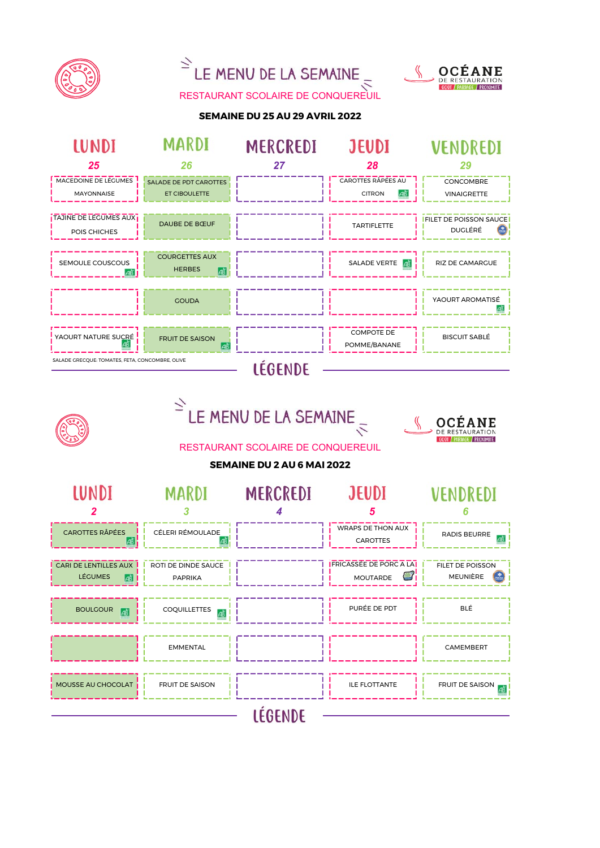



MOUSSE AU CHOCOLAT FRUIT DE SAISON FROM THE FRUIT DE SAISON LÉGENDE

EMMENTAL CAMEMBERT

BOULGOUR **FAIL A** COQUILLETTES **FAIL A COLUMBER COLUMBER COLUMBER COLUMBER COLUMBER COLUMBER COLUMBER COLUMBER COLUMBER COLUMBER COLUMBER COLUMBER COLUMBER COLUMBER COLUMBER COLUMBER COLUMBER COLUMBER COLUMBER COLUMBER C** 

FRICASSÉE DE PORC A LA **MOUTARDE** 

 $\mathbb{Z}$ 

FILET DE POISSON MEUNIÈRE

 $\overline{AB}$ 

GOÛT / PARTAGE / PROXIMITÉ



CARI DE LENTILLES AUX LÉGUMES

 $\overrightarrow{AB}$ 

ROTI DE DINDE SAUCE **PAPPIKA**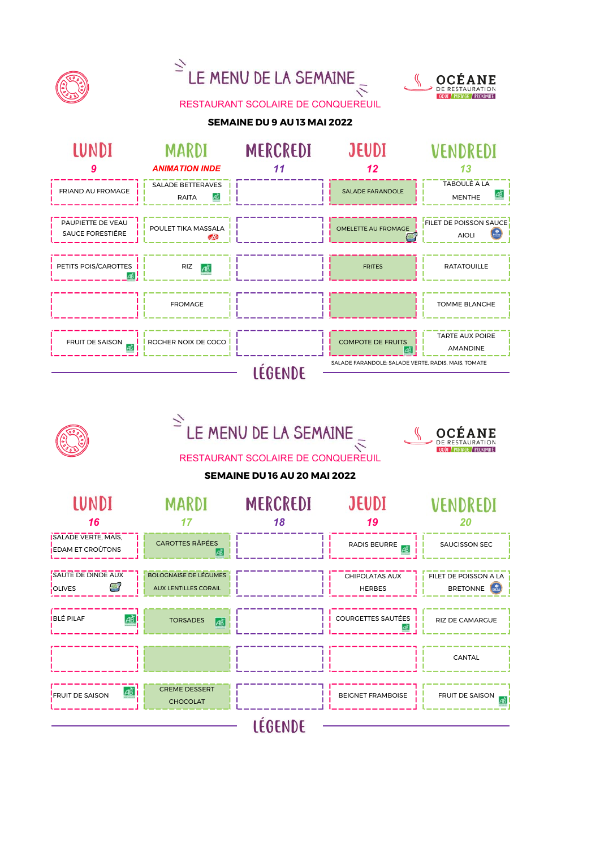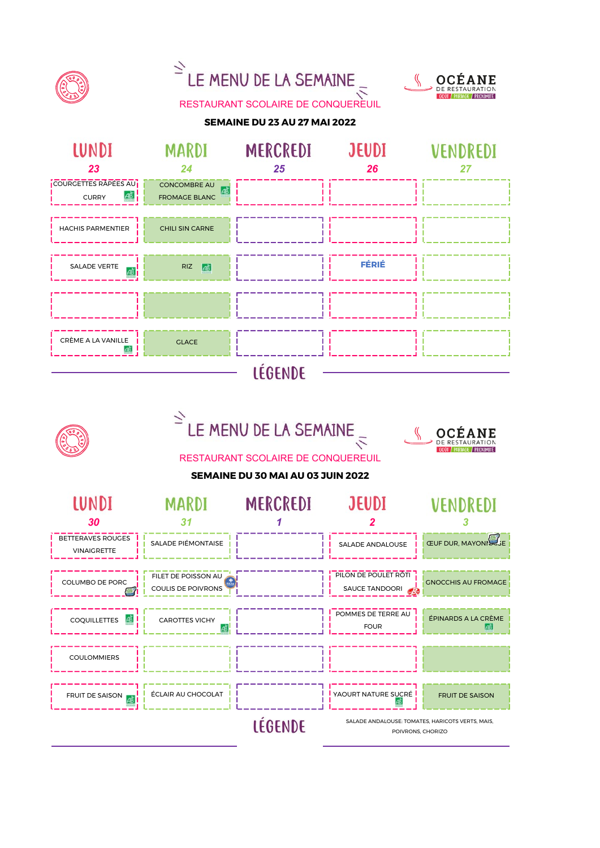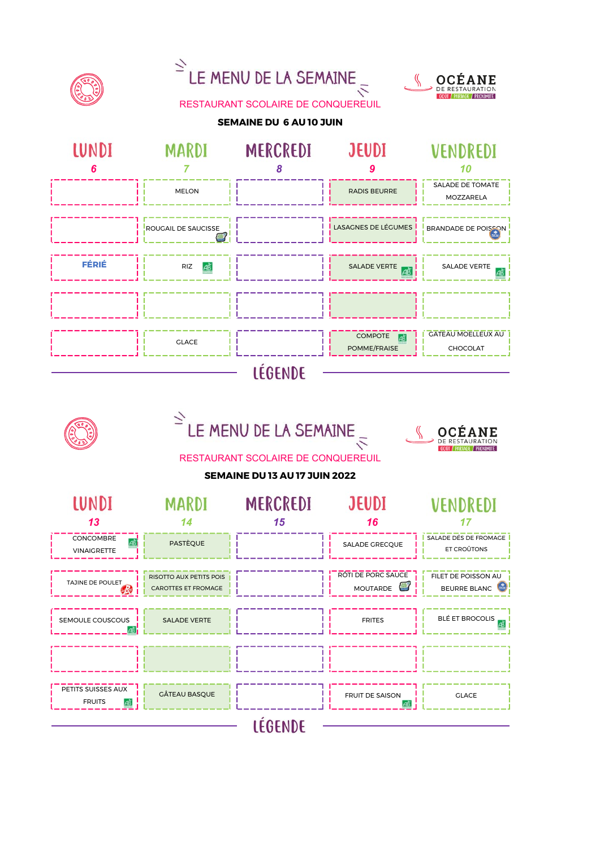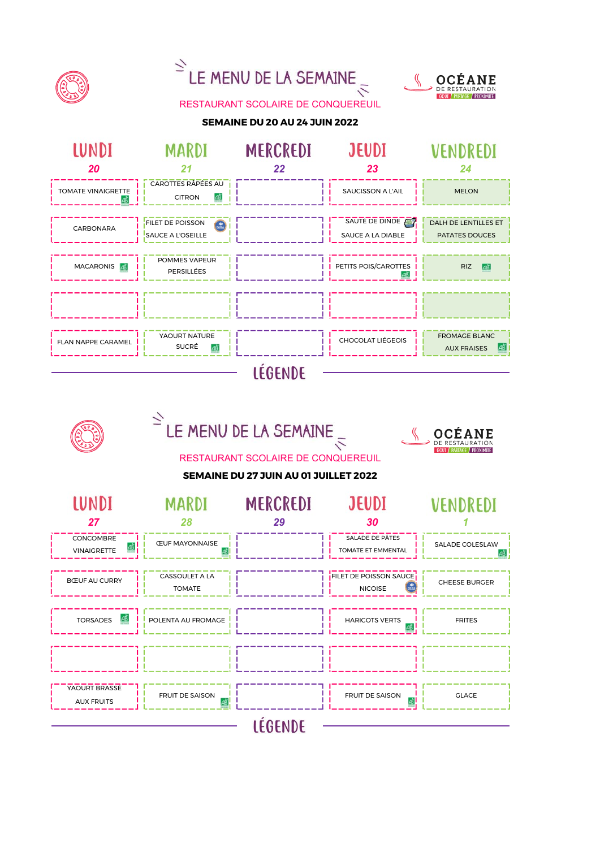

LÉGENDE